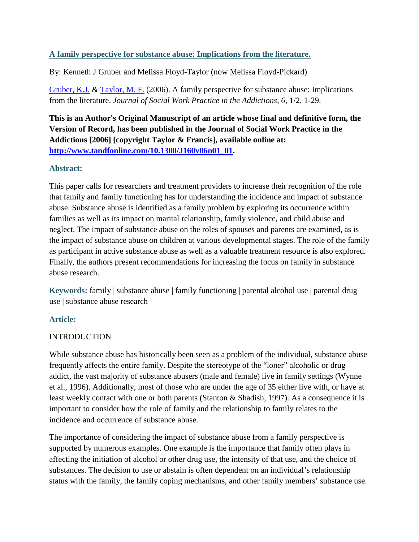# **A family perspective for substance abuse: Implications from the literature.**

By: Kenneth J Gruber and Melissa Floyd-Taylor (now Melissa Floyd-Pickard)

[Gruber, K.J.](http://libres.uncg.edu/ir/uncg/clist.aspx?id=1218) & [Taylor, M. F.](http://libres.uncg.edu/ir/uncg/clist.aspx?id=1245) (2006). A family perspective for substance abuse: Implications from the literature. *Journal of Social Work Practice in the Addictions, 6,* 1/2, 1-29.

**This is an Author's Original Manuscript of an article whose final and definitive form, the Version of Record, has been published in the Journal of Social Work Practice in the Addictions [2006] [copyright Taylor & Francis], available online at: [http://www.tandfonline.com/10.1300/J160v06n01\\_01.](http://www.tandfonline.com/10.1300/J160v06n01_01)**

#### **Abstract:**

This paper calls for researchers and treatment providers to increase their recognition of the role that family and family functioning has for understanding the incidence and impact of substance abuse. Substance abuse is identified as a family problem by exploring its occurrence within families as well as its impact on marital relationship, family violence, and child abuse and neglect. The impact of substance abuse on the roles of spouses and parents are examined, as is the impact of substance abuse on children at various developmental stages. The role of the family as participant in active substance abuse as well as a valuable treatment resource is also explored. Finally, the authors present recommendations for increasing the focus on family in substance abuse research.

**Keywords:** family | substance abuse | family functioning | parental alcohol use | parental drug use | substance abuse research

## **Article:**

## INTRODUCTION

While substance abuse has historically been seen as a problem of the individual, substance abuse frequently affects the entire family. Despite the stereotype of the "loner" alcoholic or drug addict, the vast majority of substance abusers (male and female) live in family settings (Wynne et al., 1996). Additionally, most of those who are under the age of 35 either live with, or have at least weekly contact with one or both parents (Stanton & Shadish, 1997). As a consequence it is important to consider how the role of family and the relationship to family relates to the incidence and occurrence of substance abuse.

The importance of considering the impact of substance abuse from a family perspective is supported by numerous examples. One example is the importance that family often plays in affecting the initiation of alcohol or other drug use, the intensity of that use, and the choice of substances. The decision to use or abstain is often dependent on an individual's relationship status with the family, the family coping mechanisms, and other family members' substance use.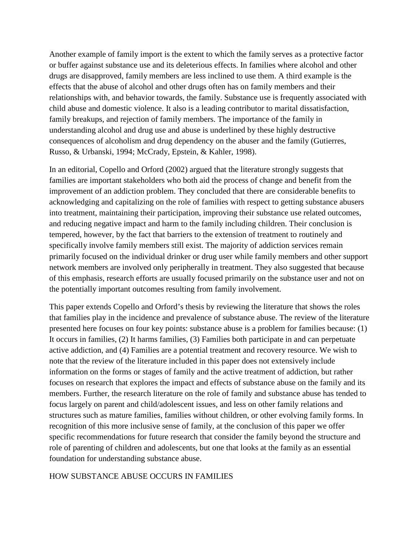Another example of family import is the extent to which the family serves as a protective factor or buffer against substance use and its deleterious effects. In families where alcohol and other drugs are disapproved, family members are less inclined to use them. A third example is the effects that the abuse of alcohol and other drugs often has on family members and their relationships with, and behavior towards, the family. Substance use is frequently associated with child abuse and domestic violence. It also is a leading contributor to marital dissatisfaction, family breakups, and rejection of family members. The importance of the family in understanding alcohol and drug use and abuse is underlined by these highly destructive consequences of alcoholism and drug dependency on the abuser and the family (Gutierres, Russo, & Urbanski, 1994; McCrady, Epstein, & Kahler, 1998).

In an editorial, Copello and Orford (2002) argued that the literature strongly suggests that families are important stakeholders who both aid the process of change and benefit from the improvement of an addiction problem. They concluded that there are considerable benefits to acknowledging and capitalizing on the role of families with respect to getting substance abusers into treatment, maintaining their participation, improving their substance use related outcomes, and reducing negative impact and harm to the family including children. Their conclusion is tempered, however, by the fact that barriers to the extension of treatment to routinely and specifically involve family members still exist. The majority of addiction services remain primarily focused on the individual drinker or drug user while family members and other support network members are involved only peripherally in treatment. They also suggested that because of this emphasis, research efforts are usually focused primarily on the substance user and not on the potentially important outcomes resulting from family involvement.

This paper extends Copello and Orford's thesis by reviewing the literature that shows the roles that families play in the incidence and prevalence of substance abuse. The review of the literature presented here focuses on four key points: substance abuse is a problem for families because: (1) It occurs in families, (2) It harms families, (3) Families both participate in and can perpetuate active addiction, and (4) Families are a potential treatment and recovery resource. We wish to note that the review of the literature included in this paper does not extensively include information on the forms or stages of family and the active treatment of addiction, but rather focuses on research that explores the impact and effects of substance abuse on the family and its members. Further, the research literature on the role of family and substance abuse has tended to focus largely on parent and child/adolescent issues, and less on other family relations and structures such as mature families, families without children, or other evolving family forms. In recognition of this more inclusive sense of family, at the conclusion of this paper we offer specific recommendations for future research that consider the family beyond the structure and role of parenting of children and adolescents, but one that looks at the family as an essential foundation for understanding substance abuse.

#### HOW SUBSTANCE ABUSE OCCURS IN FAMILIES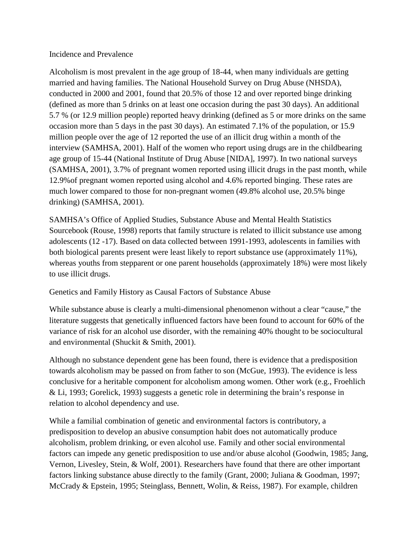#### Incidence and Prevalence

Alcoholism is most prevalent in the age group of 18-44, when many individuals are getting married and having families. The National Household Survey on Drug Abuse (NHSDA), conducted in 2000 and 2001, found that 20.5% of those 12 and over reported binge drinking (defined as more than 5 drinks on at least one occasion during the past 30 days). An additional 5.7 % (or 12.9 million people) reported heavy drinking (defined as 5 or more drinks on the same occasion more than 5 days in the past 30 days). An estimated 7.1% of the population, or 15.9 million people over the age of 12 reported the use of an illicit drug within a month of the interview (SAMHSA, 2001). Half of the women who report using drugs are in the childbearing age group of 15-44 (National Institute of Drug Abuse [NIDA], 1997). In two national surveys (SAMHSA, 2001), 3.7% of pregnant women reported using illicit drugs in the past month, while 12.9%of pregnant women reported using alcohol and 4.6% reported binging. These rates are much lower compared to those for non-pregnant women (49.8% alcohol use, 20.5% binge drinking) (SAMHSA, 2001).

SAMHSA's Office of Applied Studies, Substance Abuse and Mental Health Statistics Sourcebook (Rouse, 1998) reports that family structure is related to illicit substance use among adolescents (12 -17). Based on data collected between 1991-1993, adolescents in families with both biological parents present were least likely to report substance use (approximately 11%), whereas youths from stepparent or one parent households (approximately 18%) were most likely to use illicit drugs.

## Genetics and Family History as Causal Factors of Substance Abuse

While substance abuse is clearly a multi-dimensional phenomenon without a clear "cause," the literature suggests that genetically influenced factors have been found to account for 60% of the variance of risk for an alcohol use disorder, with the remaining 40% thought to be sociocultural and environmental (Shuckit & Smith, 2001).

Although no substance dependent gene has been found, there is evidence that a predisposition towards alcoholism may be passed on from father to son (McGue, 1993). The evidence is less conclusive for a heritable component for alcoholism among women. Other work (e.g., Froehlich & Li, 1993; Gorelick, 1993) suggests a genetic role in determining the brain's response in relation to alcohol dependency and use.

While a familial combination of genetic and environmental factors is contributory, a predisposition to develop an abusive consumption habit does not automatically produce alcoholism, problem drinking, or even alcohol use. Family and other social environmental factors can impede any genetic predisposition to use and/or abuse alcohol (Goodwin, 1985; Jang, Vernon, Livesley, Stein, & Wolf, 2001). Researchers have found that there are other important factors linking substance abuse directly to the family (Grant, 2000; Juliana & Goodman, 1997; McCrady & Epstein, 1995; Steinglass, Bennett, Wolin, & Reiss, 1987). For example, children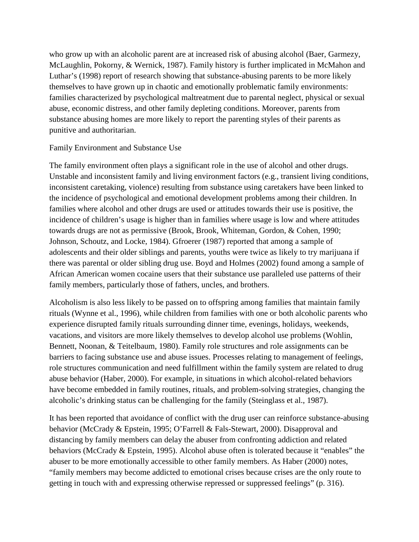who grow up with an alcoholic parent are at increased risk of abusing alcohol (Baer, Garmezy, McLaughlin, Pokorny, & Wernick, 1987). Family history is further implicated in McMahon and Luthar's (1998) report of research showing that substance-abusing parents to be more likely themselves to have grown up in chaotic and emotionally problematic family environments: families characterized by psychological maltreatment due to parental neglect, physical or sexual abuse, economic distress, and other family depleting conditions. Moreover, parents from substance abusing homes are more likely to report the parenting styles of their parents as punitive and authoritarian.

#### Family Environment and Substance Use

The family environment often plays a significant role in the use of alcohol and other drugs. Unstable and inconsistent family and living environment factors (e.g., transient living conditions, inconsistent caretaking, violence) resulting from substance using caretakers have been linked to the incidence of psychological and emotional development problems among their children. In families where alcohol and other drugs are used or attitudes towards their use is positive, the incidence of children's usage is higher than in families where usage is low and where attitudes towards drugs are not as permissive (Brook, Brook, Whiteman, Gordon, & Cohen, 1990; Johnson, Schoutz, and Locke, 1984). Gfroerer (1987) reported that among a sample of adolescents and their older siblings and parents, youths were twice as likely to try marijuana if there was parental or older sibling drug use. Boyd and Holmes (2002) found among a sample of African American women cocaine users that their substance use paralleled use patterns of their family members, particularly those of fathers, uncles, and brothers.

Alcoholism is also less likely to be passed on to offspring among families that maintain family rituals (Wynne et al., 1996), while children from families with one or both alcoholic parents who experience disrupted family rituals surrounding dinner time, evenings, holidays, weekends, vacations, and visitors are more likely themselves to develop alcohol use problems (Wohlin, Bennett, Noonan, & Teitelbaum, 1980). Family role structures and role assignments can be barriers to facing substance use and abuse issues. Processes relating to management of feelings, role structures communication and need fulfillment within the family system are related to drug abuse behavior (Haber, 2000). For example, in situations in which alcohol-related behaviors have become embedded in family routines, rituals, and problem-solving strategies, changing the alcoholic's drinking status can be challenging for the family (Steinglass et al., 1987).

It has been reported that avoidance of conflict with the drug user can reinforce substance-abusing behavior (McCrady & Epstein, 1995; O'Farrell & Fals-Stewart, 2000). Disapproval and distancing by family members can delay the abuser from confronting addiction and related behaviors (McCrady & Epstein, 1995). Alcohol abuse often is tolerated because it "enables" the abuser to be more emotionally accessible to other family members. As Haber (2000) notes, "family members may become addicted to emotional crises because crises are the only route to getting in touch with and expressing otherwise repressed or suppressed feelings" (p. 316).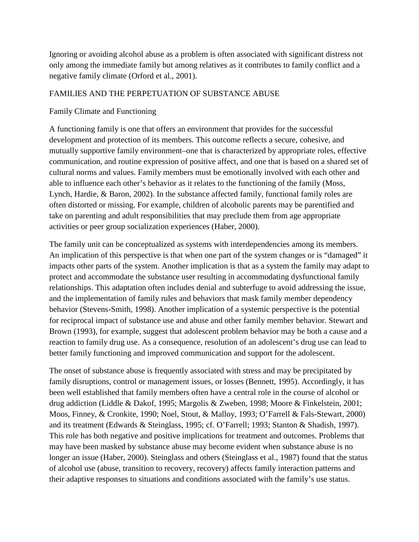Ignoring or avoiding alcohol abuse as a problem is often associated with significant distress not only among the immediate family but among relatives as it contributes to family conflict and a negative family climate (Orford et al., 2001).

#### FAMILIES AND THE PERPETUATION OF SUBSTANCE ABUSE

#### Family Climate and Functioning

A functioning family is one that offers an environment that provides for the successful development and protection of its members. This outcome reflects a secure, cohesive, and mutually supportive family environment–one that is characterized by appropriate roles, effective communication, and routine expression of positive affect, and one that is based on a shared set of cultural norms and values. Family members must be emotionally involved with each other and able to influence each other's behavior as it relates to the functioning of the family (Moss, Lynch, Hardie, & Baron, 2002). In the substance affected family, functional family roles are often distorted or missing. For example, children of alcoholic parents may be parentified and take on parenting and adult responsibilities that may preclude them from age appropriate activities or peer group socialization experiences (Haber, 2000).

The family unit can be conceptualized as systems with interdependencies among its members. An implication of this perspective is that when one part of the system changes or is "damaged" it impacts other parts of the system. Another implication is that as a system the family may adapt to protect and accommodate the substance user resulting in accommodating dysfunctional family relationships. This adaptation often includes denial and subterfuge to avoid addressing the issue, and the implementation of family rules and behaviors that mask family member dependency behavior (Stevens-Smith, 1998). Another implication of a systemic perspective is the potential for reciprocal impact of substance use and abuse and other family member behavior. Stewart and Brown (1993), for example, suggest that adolescent problem behavior may be both a cause and a reaction to family drug use. As a consequence, resolution of an adolescent's drug use can lead to better family functioning and improved communication and support for the adolescent.

The onset of substance abuse is frequently associated with stress and may be precipitated by family disruptions, control or management issues, or losses (Bennett, 1995). Accordingly, it has been well established that family members often have a central role in the course of alcohol or drug addiction (Liddle & Dakof, 1995; Margolis & Zweben, 1998; Moore & Finkelstein, 2001; Moos, Finney, & Cronkite, 1990; Noel, Stout, & Malloy, 1993; O'Farrell & Fals-Stewart, 2000) and its treatment (Edwards & Steinglass, 1995; cf. O'Farrell; 1993; Stanton & Shadish, 1997). This role has both negative and positive implications for treatment and outcomes. Problems that may have been masked by substance abuse may become evident when substance abuse is no longer an issue (Haber, 2000). Steinglass and others (Steinglass et al., 1987) found that the status of alcohol use (abuse, transition to recovery, recovery) affects family interaction patterns and their adaptive responses to situations and conditions associated with the family's use status.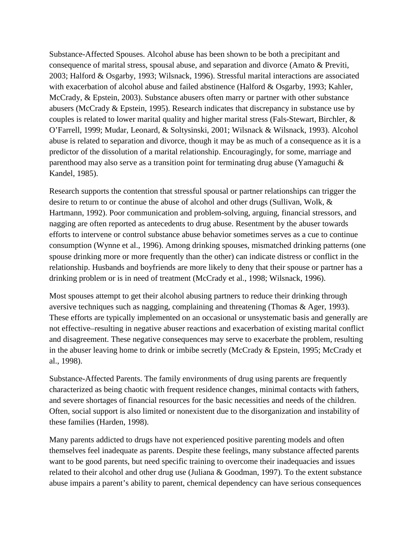Substance-Affected Spouses. Alcohol abuse has been shown to be both a precipitant and consequence of marital stress, spousal abuse, and separation and divorce (Amato & Previti, 2003; Halford & Osgarby, 1993; Wilsnack, 1996). Stressful marital interactions are associated with exacerbation of alcohol abuse and failed abstinence (Halford & Osgarby, 1993; Kahler, McCrady, & Epstein, 2003). Substance abusers often marry or partner with other substance abusers (McCrady & Epstein, 1995). Research indicates that discrepancy in substance use by couples is related to lower marital quality and higher marital stress (Fals-Stewart, Birchler, & O'Farrell, 1999; Mudar, Leonard, & Soltysinski, 2001; Wilsnack & Wilsnack, 1993). Alcohol abuse is related to separation and divorce, though it may be as much of a consequence as it is a predictor of the dissolution of a marital relationship. Encouragingly, for some, marriage and parenthood may also serve as a transition point for terminating drug abuse (Yamaguchi & Kandel, 1985).

Research supports the contention that stressful spousal or partner relationships can trigger the desire to return to or continue the abuse of alcohol and other drugs (Sullivan, Wolk, & Hartmann, 1992). Poor communication and problem-solving, arguing, financial stressors, and nagging are often reported as antecedents to drug abuse. Resentment by the abuser towards efforts to intervene or control substance abuse behavior sometimes serves as a cue to continue consumption (Wynne et al., 1996). Among drinking spouses, mismatched drinking patterns (one spouse drinking more or more frequently than the other) can indicate distress or conflict in the relationship. Husbands and boyfriends are more likely to deny that their spouse or partner has a drinking problem or is in need of treatment (McCrady et al., 1998; Wilsnack, 1996).

Most spouses attempt to get their alcohol abusing partners to reduce their drinking through aversive techniques such as nagging, complaining and threatening (Thomas & Ager, 1993). These efforts are typically implemented on an occasional or unsystematic basis and generally are not effective–resulting in negative abuser reactions and exacerbation of existing marital conflict and disagreement. These negative consequences may serve to exacerbate the problem, resulting in the abuser leaving home to drink or imbibe secretly (McCrady & Epstein, 1995; McCrady et al., 1998).

Substance-Affected Parents. The family environments of drug using parents are frequently characterized as being chaotic with frequent residence changes, minimal contacts with fathers, and severe shortages of financial resources for the basic necessities and needs of the children. Often, social support is also limited or nonexistent due to the disorganization and instability of these families (Harden, 1998).

Many parents addicted to drugs have not experienced positive parenting models and often themselves feel inadequate as parents. Despite these feelings, many substance affected parents want to be good parents, but need specific training to overcome their inadequacies and issues related to their alcohol and other drug use (Juliana & Goodman, 1997). To the extent substance abuse impairs a parent's ability to parent, chemical dependency can have serious consequences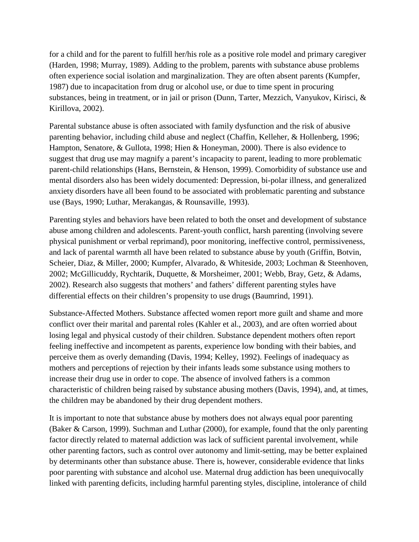for a child and for the parent to fulfill her/his role as a positive role model and primary caregiver (Harden, 1998; Murray, 1989). Adding to the problem, parents with substance abuse problems often experience social isolation and marginalization. They are often absent parents (Kumpfer, 1987) due to incapacitation from drug or alcohol use, or due to time spent in procuring substances, being in treatment, or in jail or prison (Dunn, Tarter, Mezzich, Vanyukov, Kirisci, & Kirillova, 2002).

Parental substance abuse is often associated with family dysfunction and the risk of abusive parenting behavior, including child abuse and neglect (Chaffin, Kelleher, & Hollenberg, 1996; Hampton, Senatore, & Gullota, 1998; Hien & Honeyman, 2000). There is also evidence to suggest that drug use may magnify a parent's incapacity to parent, leading to more problematic parent-child relationships (Hans, Bernstein, & Henson, 1999). Comorbidity of substance use and mental disorders also has been widely documented: Depression, bi-polar illness, and generalized anxiety disorders have all been found to be associated with problematic parenting and substance use (Bays, 1990; Luthar, Merakangas, & Rounsaville, 1993).

Parenting styles and behaviors have been related to both the onset and development of substance abuse among children and adolescents. Parent-youth conflict, harsh parenting (involving severe physical punishment or verbal reprimand), poor monitoring, ineffective control, permissiveness, and lack of parental warmth all have been related to substance abuse by youth (Griffin, Botvin, Scheier, Diaz, & Miller, 2000; Kumpfer, Alvarado, & Whiteside, 2003; Lochman & Steenhoven, 2002; McGillicuddy, Rychtarik, Duquette, & Morsheimer, 2001; Webb, Bray, Getz, & Adams, 2002). Research also suggests that mothers' and fathers' different parenting styles have differential effects on their children's propensity to use drugs (Baumrind, 1991).

Substance-Affected Mothers. Substance affected women report more guilt and shame and more conflict over their marital and parental roles (Kahler et al., 2003), and are often worried about losing legal and physical custody of their children. Substance dependent mothers often report feeling ineffective and incompetent as parents, experience low bonding with their babies, and perceive them as overly demanding (Davis, 1994; Kelley, 1992). Feelings of inadequacy as mothers and perceptions of rejection by their infants leads some substance using mothers to increase their drug use in order to cope. The absence of involved fathers is a common characteristic of children being raised by substance abusing mothers (Davis, 1994), and, at times, the children may be abandoned by their drug dependent mothers.

It is important to note that substance abuse by mothers does not always equal poor parenting (Baker & Carson, 1999). Suchman and Luthar (2000), for example, found that the only parenting factor directly related to maternal addiction was lack of sufficient parental involvement, while other parenting factors, such as control over autonomy and limit-setting, may be better explained by determinants other than substance abuse. There is, however, considerable evidence that links poor parenting with substance and alcohol use. Maternal drug addiction has been unequivocally linked with parenting deficits, including harmful parenting styles, discipline, intolerance of child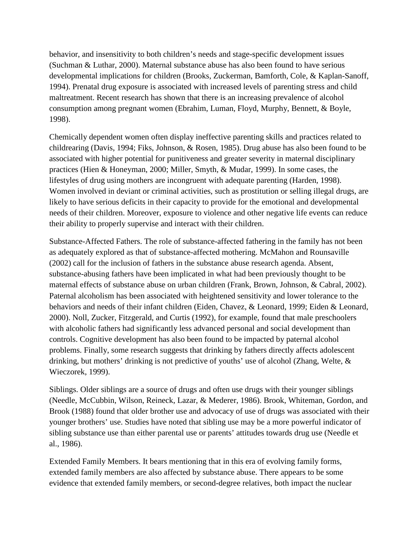behavior, and insensitivity to both children's needs and stage-specific development issues (Suchman & Luthar, 2000). Maternal substance abuse has also been found to have serious developmental implications for children (Brooks, Zuckerman, Bamforth, Cole, & Kaplan-Sanoff, 1994). Prenatal drug exposure is associated with increased levels of parenting stress and child maltreatment. Recent research has shown that there is an increasing prevalence of alcohol consumption among pregnant women (Ebrahim, Luman, Floyd, Murphy, Bennett, & Boyle, 1998).

Chemically dependent women often display ineffective parenting skills and practices related to childrearing (Davis, 1994; Fiks, Johnson, & Rosen, 1985). Drug abuse has also been found to be associated with higher potential for punitiveness and greater severity in maternal disciplinary practices (Hien & Honeyman, 2000; Miller, Smyth, & Mudar, 1999). In some cases, the lifestyles of drug using mothers are incongruent with adequate parenting (Harden, 1998). Women involved in deviant or criminal activities, such as prostitution or selling illegal drugs, are likely to have serious deficits in their capacity to provide for the emotional and developmental needs of their children. Moreover, exposure to violence and other negative life events can reduce their ability to properly supervise and interact with their children.

Substance-Affected Fathers. The role of substance-affected fathering in the family has not been as adequately explored as that of substance-affected mothering. McMahon and Rounsaville (2002) call for the inclusion of fathers in the substance abuse research agenda. Absent, substance-abusing fathers have been implicated in what had been previously thought to be maternal effects of substance abuse on urban children (Frank, Brown, Johnson, & Cabral, 2002). Paternal alcoholism has been associated with heightened sensitivity and lower tolerance to the behaviors and needs of their infant children (Eiden, Chavez, & Leonard, 1999; Eiden & Leonard, 2000). Noll, Zucker, Fitzgerald, and Curtis (1992), for example, found that male preschoolers with alcoholic fathers had significantly less advanced personal and social development than controls. Cognitive development has also been found to be impacted by paternal alcohol problems. Finally, some research suggests that drinking by fathers directly affects adolescent drinking, but mothers' drinking is not predictive of youths' use of alcohol (Zhang, Welte, & Wieczorek, 1999).

Siblings. Older siblings are a source of drugs and often use drugs with their younger siblings (Needle, McCubbin, Wilson, Reineck, Lazar, & Mederer, 1986). Brook, Whiteman, Gordon, and Brook (1988) found that older brother use and advocacy of use of drugs was associated with their younger brothers' use. Studies have noted that sibling use may be a more powerful indicator of sibling substance use than either parental use or parents' attitudes towards drug use (Needle et al., 1986).

Extended Family Members. It bears mentioning that in this era of evolving family forms, extended family members are also affected by substance abuse. There appears to be some evidence that extended family members, or second-degree relatives, both impact the nuclear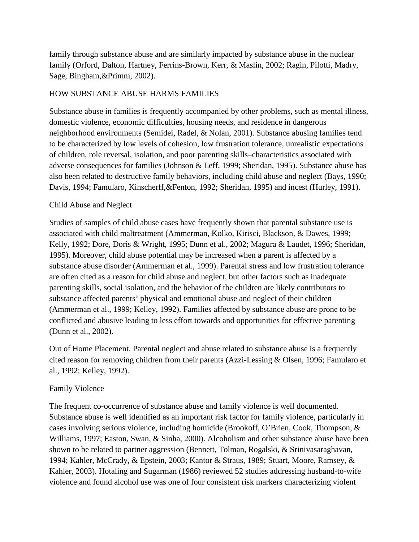family through substance abuse and are similarly impacted by substance abuse in the nuclear family (Orford, Dalton, Hartney, Ferrins-Brown, Kerr, & Maslin, 2002; Ragin, Pilotti, Madry, Sage, Bingham,&Primm, 2002).

## HOW SUBSTANCE ABUSE HARMS FAMILIES

Substance abuse in families is frequently accompanied by other problems, such as mental illness, domestic violence, economic difficulties, housing needs, and residence in dangerous neighborhood environments (Semidei, Radel, & Nolan, 2001). Substance abusing families tend to be characterized by low levels of cohesion, low frustration tolerance, unrealistic expectations of children, role reversal, isolation, and poor parenting skills–characteristics associated with adverse consequences for families (Johnson & Leff, 1999; Sheridan, 1995). Substance abuse has also been related to destructive family behaviors, including child abuse and neglect (Bays, 1990; Davis, 1994; Famularo, Kinscherff,&Fenton, 1992; Sheridan, 1995) and incest (Hurley, 1991).

## Child Abuse and Neglect

Studies of samples of child abuse cases have frequently shown that parental substance use is associated with child maltreatment (Ammerman, Kolko, Kirisci, Blackson, & Dawes, 1999; Kelly, 1992; Dore, Doris & Wright, 1995; Dunn et al., 2002; Magura & Laudet, 1996; Sheridan, 1995). Moreover, child abuse potential may be increased when a parent is affected by a substance abuse disorder (Ammerman et al., 1999). Parental stress and low frustration tolerance are often cited as a reason for child abuse and neglect, but other factors such as inadequate parenting skills, social isolation, and the behavior of the children are likely contributors to substance affected parents' physical and emotional abuse and neglect of their children (Ammerman et al., 1999; Kelley, 1992). Families affected by substance abuse are prone to be conflicted and abusive leading to less effort towards and opportunities for effective parenting (Dunn et al., 2002).

Out of Home Placement. Parental neglect and abuse related to substance abuse is a frequently cited reason for removing children from their parents (Azzi-Lessing & Olsen, 1996; Famularo et al., 1992; Kelley, 1992).

## Family Violence

The frequent co-occurrence of substance abuse and family violence is well documented. Substance abuse is well identified as an important risk factor for family violence, particularly in cases involving serious violence, including homicide (Brookoff, O'Brien, Cook, Thompson, & Williams, 1997; Easton, Swan, & Sinha, 2000). Alcoholism and other substance abuse have been shown to be related to partner aggression (Bennett, Tolman, Rogalski, & Srinivasaraghavan, 1994; Kahler, McCrady, & Epstein, 2003; Kantor & Straus, 1989; Stuart, Moore, Ramsey, & Kahler, 2003). Hotaling and Sugarman (1986) reviewed 52 studies addressing husband-to-wife violence and found alcohol use was one of four consistent risk markers characterizing violent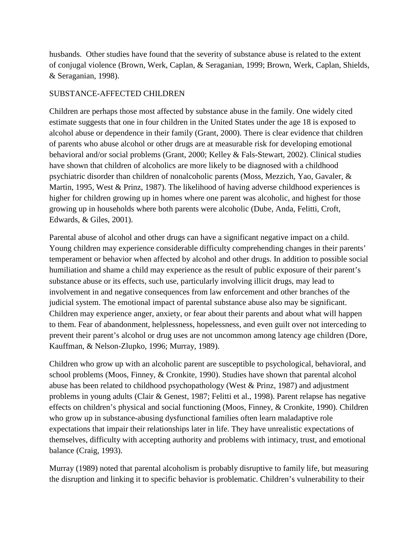husbands. Other studies have found that the severity of substance abuse is related to the extent of conjugal violence (Brown, Werk, Caplan, & Seraganian, 1999; Brown, Werk, Caplan, Shields, & Seraganian, 1998).

# SUBSTANCE-AFFECTED CHILDREN

Children are perhaps those most affected by substance abuse in the family. One widely cited estimate suggests that one in four children in the United States under the age 18 is exposed to alcohol abuse or dependence in their family (Grant, 2000). There is clear evidence that children of parents who abuse alcohol or other drugs are at measurable risk for developing emotional behavioral and/or social problems (Grant, 2000; Kelley & Fals-Stewart, 2002). Clinical studies have shown that children of alcoholics are more likely to be diagnosed with a childhood psychiatric disorder than children of nonalcoholic parents (Moss, Mezzich, Yao, Gavaler, & Martin, 1995, West & Prinz, 1987). The likelihood of having adverse childhood experiences is higher for children growing up in homes where one parent was alcoholic, and highest for those growing up in households where both parents were alcoholic (Dube, Anda, Felitti, Croft, Edwards, & Giles, 2001).

Parental abuse of alcohol and other drugs can have a significant negative impact on a child. Young children may experience considerable difficulty comprehending changes in their parents' temperament or behavior when affected by alcohol and other drugs. In addition to possible social humiliation and shame a child may experience as the result of public exposure of their parent's substance abuse or its effects, such use, particularly involving illicit drugs, may lead to involvement in and negative consequences from law enforcement and other branches of the judicial system. The emotional impact of parental substance abuse also may be significant. Children may experience anger, anxiety, or fear about their parents and about what will happen to them. Fear of abandonment, helplessness, hopelessness, and even guilt over not interceding to prevent their parent's alcohol or drug uses are not uncommon among latency age children (Dore, Kauffman, & Nelson-Zlupko, 1996; Murray, 1989).

Children who grow up with an alcoholic parent are susceptible to psychological, behavioral, and school problems (Moos, Finney, & Cronkite, 1990). Studies have shown that parental alcohol abuse has been related to childhood psychopathology (West & Prinz, 1987) and adjustment problems in young adults (Clair & Genest, 1987; Felitti et al., 1998). Parent relapse has negative effects on children's physical and social functioning (Moos, Finney, & Cronkite, 1990). Children who grow up in substance-abusing dysfunctional families often learn maladaptive role expectations that impair their relationships later in life. They have unrealistic expectations of themselves, difficulty with accepting authority and problems with intimacy, trust, and emotional balance (Craig, 1993).

Murray (1989) noted that parental alcoholism is probably disruptive to family life, but measuring the disruption and linking it to specific behavior is problematic. Children's vulnerability to their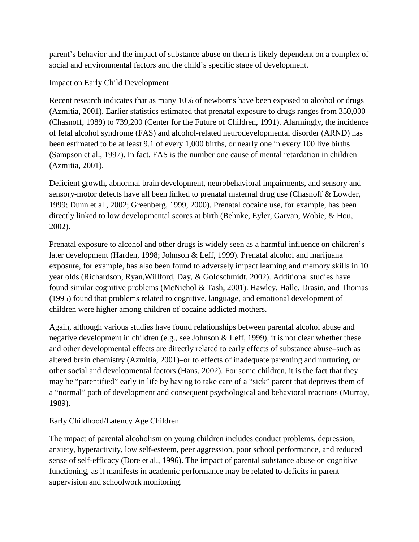parent's behavior and the impact of substance abuse on them is likely dependent on a complex of social and environmental factors and the child's specific stage of development.

Impact on Early Child Development

Recent research indicates that as many 10% of newborns have been exposed to alcohol or drugs (Azmitia, 2001). Earlier statistics estimated that prenatal exposure to drugs ranges from 350,000 (Chasnoff, 1989) to 739,200 (Center for the Future of Children, 1991). Alarmingly, the incidence of fetal alcohol syndrome (FAS) and alcohol-related neurodevelopmental disorder (ARND) has been estimated to be at least 9.1 of every 1,000 births, or nearly one in every 100 live births (Sampson et al., 1997). In fact, FAS is the number one cause of mental retardation in children (Azmitia, 2001).

Deficient growth, abnormal brain development, neurobehavioral impairments, and sensory and sensory-motor defects have all been linked to prenatal maternal drug use (Chasnoff & Lowder, 1999; Dunn et al., 2002; Greenberg, 1999, 2000). Prenatal cocaine use, for example, has been directly linked to low developmental scores at birth (Behnke, Eyler, Garvan, Wobie, & Hou, 2002).

Prenatal exposure to alcohol and other drugs is widely seen as a harmful influence on children's later development (Harden, 1998; Johnson & Leff, 1999). Prenatal alcohol and marijuana exposure, for example, has also been found to adversely impact learning and memory skills in 10 year olds (Richardson, Ryan,Willford, Day, & Goldschmidt, 2002). Additional studies have found similar cognitive problems (McNichol & Tash, 2001). Hawley, Halle, Drasin, and Thomas (1995) found that problems related to cognitive, language, and emotional development of children were higher among children of cocaine addicted mothers.

Again, although various studies have found relationships between parental alcohol abuse and negative development in children (e.g., see Johnson & Leff, 1999), it is not clear whether these and other developmental effects are directly related to early effects of substance abuse–such as altered brain chemistry (Azmitia, 2001)–or to effects of inadequate parenting and nurturing, or other social and developmental factors (Hans, 2002). For some children, it is the fact that they may be "parentified" early in life by having to take care of a "sick" parent that deprives them of a "normal" path of development and consequent psychological and behavioral reactions (Murray, 1989).

Early Childhood/Latency Age Children

The impact of parental alcoholism on young children includes conduct problems, depression, anxiety, hyperactivity, low self-esteem, peer aggression, poor school performance, and reduced sense of self-efficacy (Dore et al., 1996). The impact of parental substance abuse on cognitive functioning, as it manifests in academic performance may be related to deficits in parent supervision and schoolwork monitoring.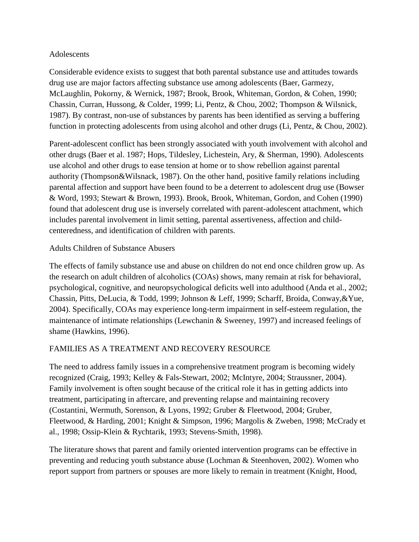#### Adolescents

Considerable evidence exists to suggest that both parental substance use and attitudes towards drug use are major factors affecting substance use among adolescents (Baer, Garmezy, McLaughlin, Pokorny, & Wernick, 1987; Brook, Brook, Whiteman, Gordon, & Cohen, 1990; Chassin, Curran, Hussong, & Colder, 1999; Li, Pentz, & Chou, 2002; Thompson & Wilsnick, 1987). By contrast, non-use of substances by parents has been identified as serving a buffering function in protecting adolescents from using alcohol and other drugs (Li, Pentz, & Chou, 2002).

Parent-adolescent conflict has been strongly associated with youth involvement with alcohol and other drugs (Baer et al. 1987; Hops, Tildesley, Lichestein, Ary, & Sherman, 1990). Adolescents use alcohol and other drugs to ease tension at home or to show rebellion against parental authority (Thompson&Wilsnack, 1987). On the other hand, positive family relations including parental affection and support have been found to be a deterrent to adolescent drug use (Bowser & Word, 1993; Stewart & Brown, 1993). Brook, Brook, Whiteman, Gordon, and Cohen (1990) found that adolescent drug use is inversely correlated with parent-adolescent attachment, which includes parental involvement in limit setting, parental assertiveness, affection and childcenteredness, and identification of children with parents.

#### Adults Children of Substance Abusers

The effects of family substance use and abuse on children do not end once children grow up. As the research on adult children of alcoholics (COAs) shows, many remain at risk for behavioral, psychological, cognitive, and neuropsychological deficits well into adulthood (Anda et al., 2002; Chassin, Pitts, DeLucia, & Todd, 1999; Johnson & Leff, 1999; Scharff, Broida, Conway,&Yue, 2004). Specifically, COAs may experience long-term impairment in self-esteem regulation, the maintenance of intimate relationships (Lewchanin & Sweeney, 1997) and increased feelings of shame (Hawkins, 1996).

#### FAMILIES AS A TREATMENT AND RECOVERY RESOURCE

The need to address family issues in a comprehensive treatment program is becoming widely recognized (Craig, 1993; Kelley & Fals-Stewart, 2002; McIntyre, 2004; Straussner, 2004). Family involvement is often sought because of the critical role it has in getting addicts into treatment, participating in aftercare, and preventing relapse and maintaining recovery (Costantini, Wermuth, Sorenson, & Lyons, 1992; Gruber & Fleetwood, 2004; Gruber, Fleetwood, & Harding, 2001; Knight & Simpson, 1996; Margolis & Zweben, 1998; McCrady et al., 1998; Ossip-Klein & Rychtarik, 1993; Stevens-Smith, 1998).

The literature shows that parent and family oriented intervention programs can be effective in preventing and reducing youth substance abuse (Lochman & Steenhoven, 2002). Women who report support from partners or spouses are more likely to remain in treatment (Knight, Hood,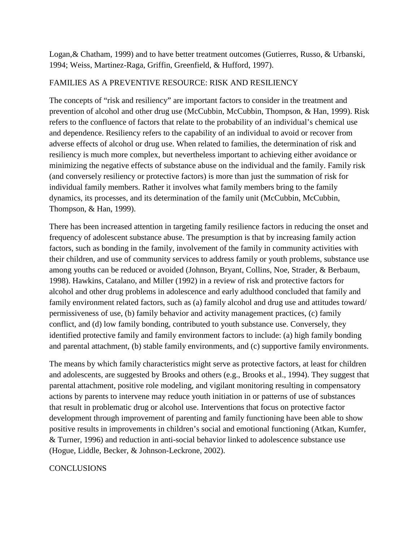Logan,& Chatham, 1999) and to have better treatment outcomes (Gutierres, Russo, & Urbanski, 1994; Weiss, Martinez-Raga, Griffin, Greenfield, & Hufford, 1997).

## FAMILIES AS A PREVENTIVE RESOURCE: RISK AND RESILIENCY

The concepts of "risk and resiliency" are important factors to consider in the treatment and prevention of alcohol and other drug use (McCubbin, McCubbin, Thompson, & Han, 1999). Risk refers to the confluence of factors that relate to the probability of an individual's chemical use and dependence. Resiliency refers to the capability of an individual to avoid or recover from adverse effects of alcohol or drug use. When related to families, the determination of risk and resiliency is much more complex, but nevertheless important to achieving either avoidance or minimizing the negative effects of substance abuse on the individual and the family. Family risk (and conversely resiliency or protective factors) is more than just the summation of risk for individual family members. Rather it involves what family members bring to the family dynamics, its processes, and its determination of the family unit (McCubbin, McCubbin, Thompson, & Han, 1999).

There has been increased attention in targeting family resilience factors in reducing the onset and frequency of adolescent substance abuse. The presumption is that by increasing family action factors, such as bonding in the family, involvement of the family in community activities with their children, and use of community services to address family or youth problems, substance use among youths can be reduced or avoided (Johnson, Bryant, Collins, Noe, Strader, & Berbaum, 1998). Hawkins, Catalano, and Miller (1992) in a review of risk and protective factors for alcohol and other drug problems in adolescence and early adulthood concluded that family and family environment related factors, such as (a) family alcohol and drug use and attitudes toward/ permissiveness of use, (b) family behavior and activity management practices, (c) family conflict, and (d) low family bonding, contributed to youth substance use. Conversely, they identified protective family and family environment factors to include: (a) high family bonding and parental attachment, (b) stable family environments, and (c) supportive family environments.

The means by which family characteristics might serve as protective factors, at least for children and adolescents, are suggested by Brooks and others (e.g., Brooks et al., 1994). They suggest that parental attachment, positive role modeling, and vigilant monitoring resulting in compensatory actions by parents to intervene may reduce youth initiation in or patterns of use of substances that result in problematic drug or alcohol use. Interventions that focus on protective factor development through improvement of parenting and family functioning have been able to show positive results in improvements in children's social and emotional functioning (Atkan, Kumfer, & Turner, 1996) and reduction in anti-social behavior linked to adolescence substance use (Hogue, Liddle, Becker, & Johnson-Leckrone, 2002).

## CONCLUSIONS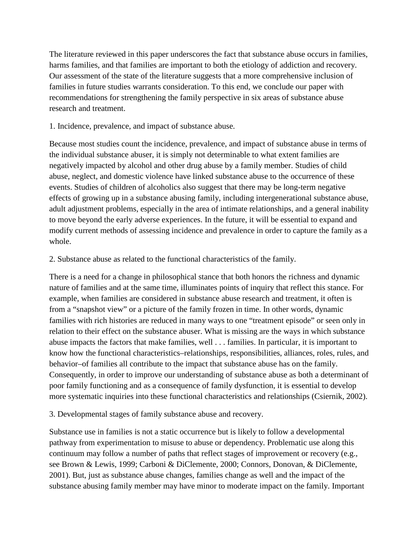The literature reviewed in this paper underscores the fact that substance abuse occurs in families, harms families, and that families are important to both the etiology of addiction and recovery. Our assessment of the state of the literature suggests that a more comprehensive inclusion of families in future studies warrants consideration. To this end, we conclude our paper with recommendations for strengthening the family perspective in six areas of substance abuse research and treatment.

1. Incidence, prevalence, and impact of substance abuse.

Because most studies count the incidence, prevalence, and impact of substance abuse in terms of the individual substance abuser, it is simply not determinable to what extent families are negatively impacted by alcohol and other drug abuse by a family member. Studies of child abuse, neglect, and domestic violence have linked substance abuse to the occurrence of these events. Studies of children of alcoholics also suggest that there may be long-term negative effects of growing up in a substance abusing family, including intergenerational substance abuse, adult adjustment problems, especially in the area of intimate relationships, and a general inability to move beyond the early adverse experiences. In the future, it will be essential to expand and modify current methods of assessing incidence and prevalence in order to capture the family as a whole.

2. Substance abuse as related to the functional characteristics of the family.

There is a need for a change in philosophical stance that both honors the richness and dynamic nature of families and at the same time, illuminates points of inquiry that reflect this stance. For example, when families are considered in substance abuse research and treatment, it often is from a "snapshot view" or a picture of the family frozen in time. In other words, dynamic families with rich histories are reduced in many ways to one "treatment episode" or seen only in relation to their effect on the substance abuser. What is missing are the ways in which substance abuse impacts the factors that make families, well . . . families. In particular, it is important to know how the functional characteristics–relationships, responsibilities, alliances, roles, rules, and behavior–of families all contribute to the impact that substance abuse has on the family. Consequently, in order to improve our understanding of substance abuse as both a determinant of poor family functioning and as a consequence of family dysfunction, it is essential to develop more systematic inquiries into these functional characteristics and relationships (Csiernik, 2002).

3. Developmental stages of family substance abuse and recovery.

Substance use in families is not a static occurrence but is likely to follow a developmental pathway from experimentation to misuse to abuse or dependency. Problematic use along this continuum may follow a number of paths that reflect stages of improvement or recovery (e.g., see Brown & Lewis, 1999; Carboni & DiClemente, 2000; Connors, Donovan, & DiClemente, 2001). But, just as substance abuse changes, families change as well and the impact of the substance abusing family member may have minor to moderate impact on the family. Important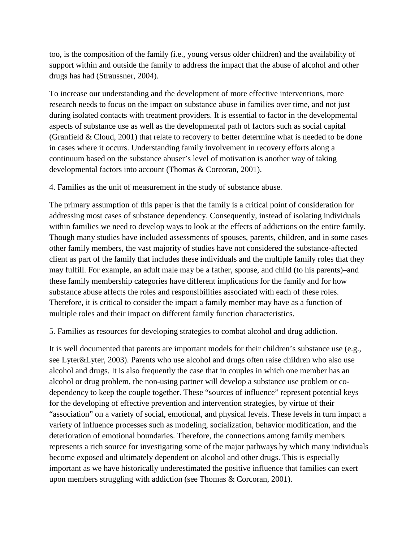too, is the composition of the family (i.e., young versus older children) and the availability of support within and outside the family to address the impact that the abuse of alcohol and other drugs has had (Straussner, 2004).

To increase our understanding and the development of more effective interventions, more research needs to focus on the impact on substance abuse in families over time, and not just during isolated contacts with treatment providers. It is essential to factor in the developmental aspects of substance use as well as the developmental path of factors such as social capital (Granfield & Cloud, 2001) that relate to recovery to better determine what is needed to be done in cases where it occurs. Understanding family involvement in recovery efforts along a continuum based on the substance abuser's level of motivation is another way of taking developmental factors into account (Thomas & Corcoran, 2001).

4. Families as the unit of measurement in the study of substance abuse.

The primary assumption of this paper is that the family is a critical point of consideration for addressing most cases of substance dependency. Consequently, instead of isolating individuals within families we need to develop ways to look at the effects of addictions on the entire family. Though many studies have included assessments of spouses, parents, children, and in some cases other family members, the vast majority of studies have not considered the substance-affected client as part of the family that includes these individuals and the multiple family roles that they may fulfill. For example, an adult male may be a father, spouse, and child (to his parents)–and these family membership categories have different implications for the family and for how substance abuse affects the roles and responsibilities associated with each of these roles. Therefore, it is critical to consider the impact a family member may have as a function of multiple roles and their impact on different family function characteristics.

5. Families as resources for developing strategies to combat alcohol and drug addiction.

It is well documented that parents are important models for their children's substance use (e.g., see Lyter&Lyter, 2003). Parents who use alcohol and drugs often raise children who also use alcohol and drugs. It is also frequently the case that in couples in which one member has an alcohol or drug problem, the non-using partner will develop a substance use problem or codependency to keep the couple together. These "sources of influence" represent potential keys for the developing of effective prevention and intervention strategies, by virtue of their "association" on a variety of social, emotional, and physical levels. These levels in turn impact a variety of influence processes such as modeling, socialization, behavior modification, and the deterioration of emotional boundaries. Therefore, the connections among family members represents a rich source for investigating some of the major pathways by which many individuals become exposed and ultimately dependent on alcohol and other drugs. This is especially important as we have historically underestimated the positive influence that families can exert upon members struggling with addiction (see Thomas & Corcoran, 2001).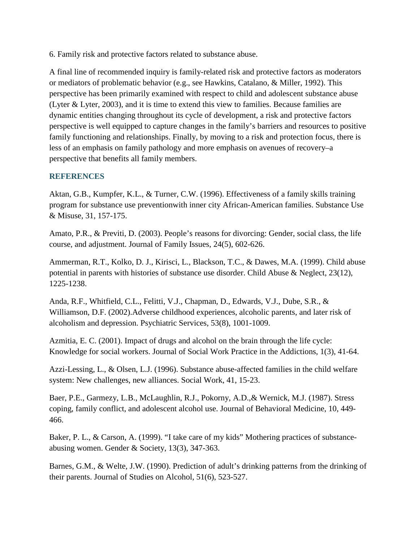6. Family risk and protective factors related to substance abuse.

A final line of recommended inquiry is family-related risk and protective factors as moderators or mediators of problematic behavior (e.g., see Hawkins, Catalano, & Miller, 1992). This perspective has been primarily examined with respect to child and adolescent substance abuse (Lyter & Lyter, 2003), and it is time to extend this view to families. Because families are dynamic entities changing throughout its cycle of development, a risk and protective factors perspective is well equipped to capture changes in the family's barriers and resources to positive family functioning and relationships. Finally, by moving to a risk and protection focus, there is less of an emphasis on family pathology and more emphasis on avenues of recovery–a perspective that benefits all family members.

# **REFERENCES**

Aktan, G.B., Kumpfer, K.L., & Turner, C.W. (1996). Effectiveness of a family skills training program for substance use preventionwith inner city African-American families. Substance Use & Misuse, 31, 157-175.

Amato, P.R., & Previti, D. (2003). People's reasons for divorcing: Gender, social class, the life course, and adjustment. Journal of Family Issues, 24(5), 602-626.

Ammerman, R.T., Kolko, D. J., Kirisci, L., Blackson, T.C., & Dawes, M.A. (1999). Child abuse potential in parents with histories of substance use disorder. Child Abuse & Neglect, 23(12), 1225-1238.

Anda, R.F., Whitfield, C.L., Felitti, V.J., Chapman, D., Edwards, V.J., Dube, S.R., & Williamson, D.F. (2002).Adverse childhood experiences, alcoholic parents, and later risk of alcoholism and depression. Psychiatric Services, 53(8), 1001-1009.

Azmitia, E. C. (2001). Impact of drugs and alcohol on the brain through the life cycle: Knowledge for social workers. Journal of Social Work Practice in the Addictions, 1(3), 41-64.

Azzi-Lessing, L., & Olsen, L.J. (1996). Substance abuse-affected families in the child welfare system: New challenges, new alliances. Social Work, 41, 15-23.

Baer, P.E., Garmezy, L.B., McLaughlin, R.J., Pokorny, A.D.,& Wernick, M.J. (1987). Stress coping, family conflict, and adolescent alcohol use. Journal of Behavioral Medicine, 10, 449- 466.

Baker, P. L., & Carson, A. (1999). "I take care of my kids" Mothering practices of substanceabusing women. Gender & Society, 13(3), 347-363.

Barnes, G.M., & Welte, J.W. (1990). Prediction of adult's drinking patterns from the drinking of their parents. Journal of Studies on Alcohol, 51(6), 523-527.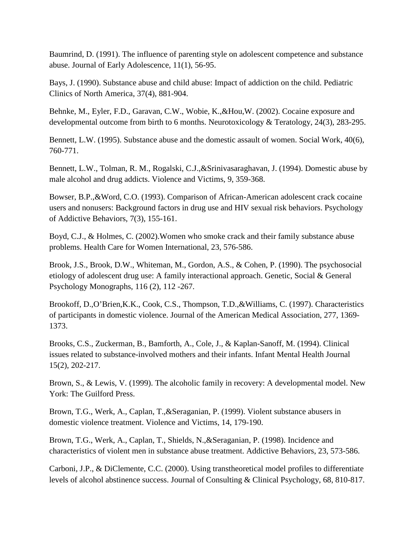Baumrind, D. (1991). The influence of parenting style on adolescent competence and substance abuse. Journal of Early Adolescence, 11(1), 56-95.

Bays, J. (1990). Substance abuse and child abuse: Impact of addiction on the child. Pediatric Clinics of North America, 37(4), 881-904.

Behnke, M., Eyler, F.D., Garavan, C.W., Wobie, K.,&Hou,W. (2002). Cocaine exposure and developmental outcome from birth to 6 months. Neurotoxicology & Teratology, 24(3), 283-295.

Bennett, L.W. (1995). Substance abuse and the domestic assault of women. Social Work, 40(6), 760-771.

Bennett, L.W., Tolman, R. M., Rogalski, C.J.,&Srinivasaraghavan, J. (1994). Domestic abuse by male alcohol and drug addicts. Violence and Victims, 9, 359-368.

Bowser, B.P.,&Word, C.O. (1993). Comparison of African-American adolescent crack cocaine users and nonusers: Background factors in drug use and HIV sexual risk behaviors. Psychology of Addictive Behaviors, 7(3), 155-161.

Boyd, C.J., & Holmes, C. (2002).Women who smoke crack and their family substance abuse problems. Health Care for Women International, 23, 576-586.

Brook, J.S., Brook, D.W., Whiteman, M., Gordon, A.S., & Cohen, P. (1990). The psychosocial etiology of adolescent drug use: A family interactional approach. Genetic, Social & General Psychology Monographs, 116 (2), 112 -267.

Brookoff, D.,O'Brien,K.K., Cook, C.S., Thompson, T.D.,&Williams, C. (1997). Characteristics of participants in domestic violence. Journal of the American Medical Association, 277, 1369- 1373.

Brooks, C.S., Zuckerman, B., Bamforth, A., Cole, J., & Kaplan-Sanoff, M. (1994). Clinical issues related to substance-involved mothers and their infants. Infant Mental Health Journal 15(2), 202-217.

Brown, S., & Lewis, V. (1999). The alcoholic family in recovery: A developmental model. New York: The Guilford Press.

Brown, T.G., Werk, A., Caplan, T.,&Seraganian, P. (1999). Violent substance abusers in domestic violence treatment. Violence and Victims, 14, 179-190.

Brown, T.G., Werk, A., Caplan, T., Shields, N.,&Seraganian, P. (1998). Incidence and characteristics of violent men in substance abuse treatment. Addictive Behaviors, 23, 573-586.

Carboni, J.P., & DiClemente, C.C. (2000). Using transtheoretical model profiles to differentiate levels of alcohol abstinence success. Journal of Consulting & Clinical Psychology, 68, 810-817.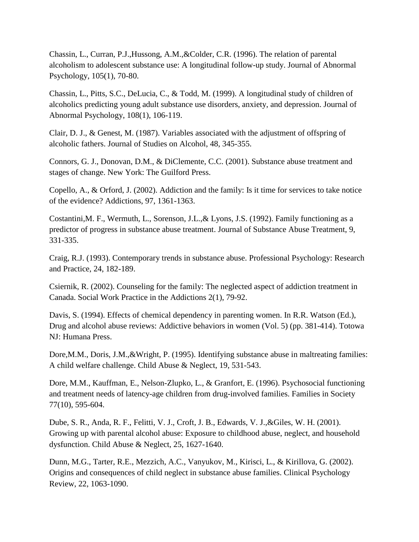Chassin, L., Curran, P.J.,Hussong, A.M.,&Colder, C.R. (1996). The relation of parental alcoholism to adolescent substance use: A longitudinal follow-up study. Journal of Abnormal Psychology, 105(1), 70-80.

Chassin, L., Pitts, S.C., DeLucia, C., & Todd, M. (1999). A longitudinal study of children of alcoholics predicting young adult substance use disorders, anxiety, and depression. Journal of Abnormal Psychology, 108(1), 106-119.

Clair, D. J., & Genest, M. (1987). Variables associated with the adjustment of offspring of alcoholic fathers. Journal of Studies on Alcohol, 48, 345-355.

Connors, G. J., Donovan, D.M., & DiClemente, C.C. (2001). Substance abuse treatment and stages of change. New York: The Guilford Press.

Copello, A., & Orford, J. (2002). Addiction and the family: Is it time for services to take notice of the evidence? Addictions, 97, 1361-1363.

Costantini,M. F., Wermuth, L., Sorenson, J.L.,& Lyons, J.S. (1992). Family functioning as a predictor of progress in substance abuse treatment. Journal of Substance Abuse Treatment, 9, 331-335.

Craig, R.J. (1993). Contemporary trends in substance abuse. Professional Psychology: Research and Practice, 24, 182-189.

Csiernik, R. (2002). Counseling for the family: The neglected aspect of addiction treatment in Canada. Social Work Practice in the Addictions 2(1), 79-92.

Davis, S. (1994). Effects of chemical dependency in parenting women. In R.R. Watson (Ed.), Drug and alcohol abuse reviews: Addictive behaviors in women (Vol. 5) (pp. 381-414). Totowa NJ: Humana Press.

Dore,M.M., Doris, J.M.,&Wright, P. (1995). Identifying substance abuse in maltreating families: A child welfare challenge. Child Abuse & Neglect, 19, 531-543.

Dore, M.M., Kauffman, E., Nelson-Zlupko, L., & Granfort, E. (1996). Psychosocial functioning and treatment needs of latency-age children from drug-involved families. Families in Society 77(10), 595-604.

Dube, S. R., Anda, R. F., Felitti, V. J., Croft, J. B., Edwards, V. J.,&Giles, W. H. (2001). Growing up with parental alcohol abuse: Exposure to childhood abuse, neglect, and household dysfunction. Child Abuse & Neglect, 25, 1627-1640.

Dunn, M.G., Tarter, R.E., Mezzich, A.C., Vanyukov, M., Kirisci, L., & Kirillova, G. (2002). Origins and consequences of child neglect in substance abuse families. Clinical Psychology Review, 22, 1063-1090.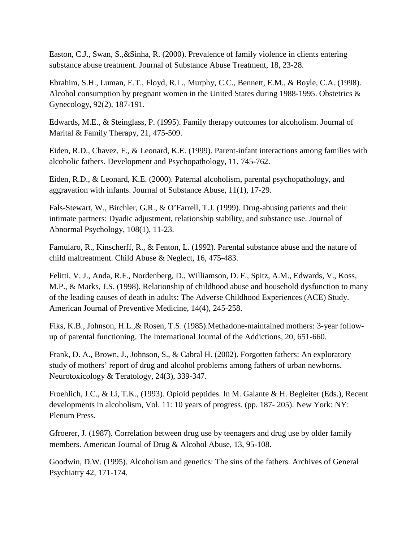Easton, C.J., Swan, S.,&Sinha, R. (2000). Prevalence of family violence in clients entering substance abuse treatment. Journal of Substance Abuse Treatment, 18, 23-28.

Ebrahim, S.H., Luman, E.T., Floyd, R.L., Murphy, C.C., Bennett, E.M., & Boyle, C.A. (1998). Alcohol consumption by pregnant women in the United States during 1988-1995. Obstetrics & Gynecology, 92(2), 187-191.

Edwards, M.E., & Steinglass, P. (1995). Family therapy outcomes for alcoholism. Journal of Marital & Family Therapy, 21, 475-509.

Eiden, R.D., Chavez, F., & Leonard, K.E. (1999). Parent-infant interactions among families with alcoholic fathers. Development and Psychopathology, 11, 745-762.

Eiden, R.D., & Leonard, K.E. (2000). Paternal alcoholism, parental psychopathology, and aggravation with infants. Journal of Substance Abuse, 11(1), 17-29.

Fals-Stewart, W., Birchler, G.R., & O'Farrell, T.J. (1999). Drug-abusing patients and their intimate partners: Dyadic adjustment, relationship stability, and substance use. Journal of Abnormal Psychology, 108(1), 11-23.

Famularo, R., Kinscherff, R., & Fenton, L. (1992). Parental substance abuse and the nature of child maltreatment. Child Abuse & Neglect, 16, 475-483.

Felitti, V. J., Anda, R.F., Nordenberg, D., Williamson, D. F., Spitz, A.M., Edwards, V., Koss, M.P., & Marks, J.S. (1998). Relationship of childhood abuse and household dysfunction to many of the leading causes of death in adults: The Adverse Childhood Experiences (ACE) Study. American Journal of Preventive Medicine, 14(4), 245-258.

Fiks, K.B., Johnson, H.L.,& Rosen, T.S. (1985).Methadone-maintained mothers: 3-year followup of parental functioning. The International Journal of the Addictions, 20, 651-660.

Frank, D. A., Brown, J., Johnson, S., & Cabral H. (2002). Forgotten fathers: An exploratory study of mothers' report of drug and alcohol problems among fathers of urban newborns. Neurotoxicology & Teratology, 24(3), 339-347.

Froehlich, J.C., & Li, T.K., (1993). Opioid peptides. In M. Galante & H. Begleiter (Eds.), Recent developments in alcoholism, Vol. 11: 10 years of progress. (pp. 187- 205). New York: NY: Plenum Press.

Gfroerer, J. (1987). Correlation between drug use by teenagers and drug use by older family members. American Journal of Drug & Alcohol Abuse, 13, 95-108.

Goodwin, D.W. (1995). Alcoholism and genetics: The sins of the fathers. Archives of General Psychiatry 42, 171-174.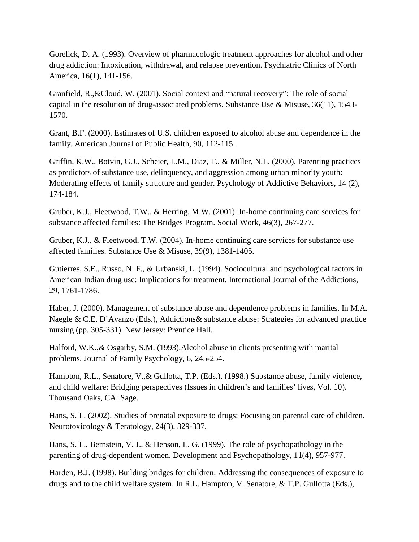Gorelick, D. A. (1993). Overview of pharmacologic treatment approaches for alcohol and other drug addiction: Intoxication, withdrawal, and relapse prevention. Psychiatric Clinics of North America, 16(1), 141-156.

Granfield, R.,&Cloud, W. (2001). Social context and "natural recovery": The role of social capital in the resolution of drug-associated problems. Substance Use & Misuse, 36(11), 1543- 1570.

Grant, B.F. (2000). Estimates of U.S. children exposed to alcohol abuse and dependence in the family. American Journal of Public Health, 90, 112-115.

Griffin, K.W., Botvin, G.J., Scheier, L.M., Diaz, T., & Miller, N.L. (2000). Parenting practices as predictors of substance use, delinquency, and aggression among urban minority youth: Moderating effects of family structure and gender. Psychology of Addictive Behaviors, 14 (2), 174-184.

Gruber, K.J., Fleetwood, T.W., & Herring, M.W. (2001). In-home continuing care services for substance affected families: The Bridges Program. Social Work, 46(3), 267-277.

Gruber, K.J., & Fleetwood, T.W. (2004). In-home continuing care services for substance use affected families. Substance Use & Misuse, 39(9), 1381-1405.

Gutierres, S.E., Russo, N. F., & Urbanski, L. (1994). Sociocultural and psychological factors in American Indian drug use: Implications for treatment. International Journal of the Addictions, 29, 1761-1786.

Haber, J. (2000). Management of substance abuse and dependence problems in families. In M.A. Naegle & C.E. D'Avanzo (Eds.), Addictions& substance abuse: Strategies for advanced practice nursing (pp. 305-331). New Jersey: Prentice Hall.

Halford, W.K.,& Osgarby, S.M. (1993).Alcohol abuse in clients presenting with marital problems. Journal of Family Psychology, 6, 245-254.

Hampton, R.L., Senatore, V.,& Gullotta, T.P. (Eds.). (1998.) Substance abuse, family violence, and child welfare: Bridging perspectives (Issues in children's and families' lives, Vol. 10). Thousand Oaks, CA: Sage.

Hans, S. L. (2002). Studies of prenatal exposure to drugs: Focusing on parental care of children. Neurotoxicology & Teratology, 24(3), 329-337.

Hans, S. L., Bernstein, V. J., & Henson, L. G. (1999). The role of psychopathology in the parenting of drug-dependent women. Development and Psychopathology, 11(4), 957-977.

Harden, B.J. (1998). Building bridges for children: Addressing the consequences of exposure to drugs and to the child welfare system. In R.L. Hampton, V. Senatore, & T.P. Gullotta (Eds.),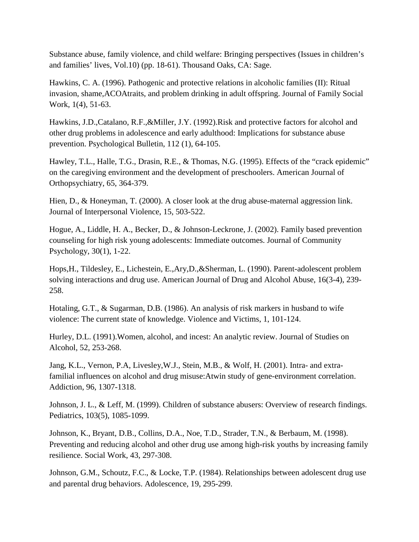Substance abuse, family violence, and child welfare: Bringing perspectives (Issues in children's and families' lives, Vol.10) (pp. 18-61). Thousand Oaks, CA: Sage.

Hawkins, C. A. (1996). Pathogenic and protective relations in alcoholic families (II): Ritual invasion, shame,ACOAtraits, and problem drinking in adult offspring. Journal of Family Social Work, 1(4), 51-63.

Hawkins, J.D.,Catalano, R.F.,&Miller, J.Y. (1992).Risk and protective factors for alcohol and other drug problems in adolescence and early adulthood: Implications for substance abuse prevention. Psychological Bulletin, 112 (1), 64-105.

Hawley, T.L., Halle, T.G., Drasin, R.E., & Thomas, N.G. (1995). Effects of the "crack epidemic" on the caregiving environment and the development of preschoolers. American Journal of Orthopsychiatry, 65, 364-379.

Hien, D., & Honeyman, T. (2000). A closer look at the drug abuse-maternal aggression link. Journal of Interpersonal Violence, 15, 503-522.

Hogue, A., Liddle, H. A., Becker, D., & Johnson-Leckrone, J. (2002). Family based prevention counseling for high risk young adolescents: Immediate outcomes. Journal of Community Psychology, 30(1), 1-22.

Hops,H., Tildesley, E., Lichestein, E.,Ary,D.,&Sherman, L. (1990). Parent-adolescent problem solving interactions and drug use. American Journal of Drug and Alcohol Abuse, 16(3-4), 239- 258.

Hotaling, G.T., & Sugarman, D.B. (1986). An analysis of risk markers in husband to wife violence: The current state of knowledge. Violence and Victims, 1, 101-124.

Hurley, D.L. (1991).Women, alcohol, and incest: An analytic review. Journal of Studies on Alcohol, 52, 253-268.

Jang, K.L., Vernon, P.A, Livesley,W.J., Stein, M.B., & Wolf, H. (2001). Intra- and extrafamilial influences on alcohol and drug misuse:Atwin study of gene-environment correlation. Addiction, 96, 1307-1318.

Johnson, J. L., & Leff, M. (1999). Children of substance abusers: Overview of research findings. Pediatrics, 103(5), 1085-1099.

Johnson, K., Bryant, D.B., Collins, D.A., Noe, T.D., Strader, T.N., & Berbaum, M. (1998). Preventing and reducing alcohol and other drug use among high-risk youths by increasing family resilience. Social Work, 43, 297-308.

Johnson, G.M., Schoutz, F.C., & Locke, T.P. (1984). Relationships between adolescent drug use and parental drug behaviors. Adolescence, 19, 295-299.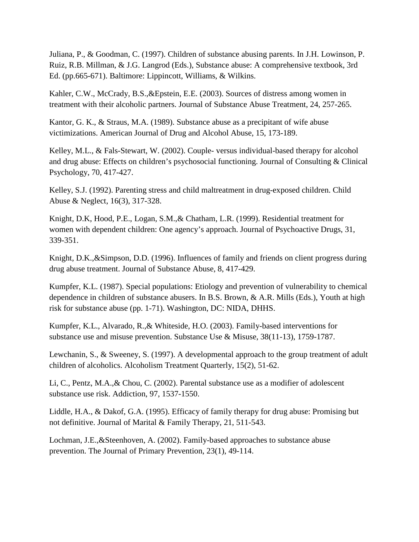Juliana, P., & Goodman, C. (1997). Children of substance abusing parents. In J.H. Lowinson, P. Ruiz, R.B. Millman, & J.G. Langrod (Eds.), Substance abuse: A comprehensive textbook, 3rd Ed. (pp.665-671). Baltimore: Lippincott, Williams, & Wilkins.

Kahler, C.W., McCrady, B.S.,&Epstein, E.E. (2003). Sources of distress among women in treatment with their alcoholic partners. Journal of Substance Abuse Treatment, 24, 257-265.

Kantor, G. K., & Straus, M.A. (1989). Substance abuse as a precipitant of wife abuse victimizations. American Journal of Drug and Alcohol Abuse, 15, 173-189.

Kelley, M.L., & Fals-Stewart, W. (2002). Couple- versus individual-based therapy for alcohol and drug abuse: Effects on children's psychosocial functioning. Journal of Consulting & Clinical Psychology, 70, 417-427.

Kelley, S.J. (1992). Parenting stress and child maltreatment in drug-exposed children. Child Abuse & Neglect, 16(3), 317-328.

Knight, D.K, Hood, P.E., Logan, S.M.,& Chatham, L.R. (1999). Residential treatment for women with dependent children: One agency's approach. Journal of Psychoactive Drugs, 31, 339-351.

Knight, D.K.,&Simpson, D.D. (1996). Influences of family and friends on client progress during drug abuse treatment. Journal of Substance Abuse, 8, 417-429.

Kumpfer, K.L. (1987). Special populations: Etiology and prevention of vulnerability to chemical dependence in children of substance abusers. In B.S. Brown, & A.R. Mills (Eds.), Youth at high risk for substance abuse (pp. 1-71). Washington, DC: NIDA, DHHS.

Kumpfer, K.L., Alvarado, R.,& Whiteside, H.O. (2003). Family-based interventions for substance use and misuse prevention. Substance Use & Misuse, 38(11-13), 1759-1787.

Lewchanin, S., & Sweeney, S. (1997). A developmental approach to the group treatment of adult children of alcoholics. Alcoholism Treatment Quarterly, 15(2), 51-62.

Li, C., Pentz, M.A.,& Chou, C. (2002). Parental substance use as a modifier of adolescent substance use risk. Addiction, 97, 1537-1550.

Liddle, H.A., & Dakof, G.A. (1995). Efficacy of family therapy for drug abuse: Promising but not definitive. Journal of Marital & Family Therapy, 21, 511-543.

Lochman, J.E.,&Steenhoven, A. (2002). Family-based approaches to substance abuse prevention. The Journal of Primary Prevention, 23(1), 49-114.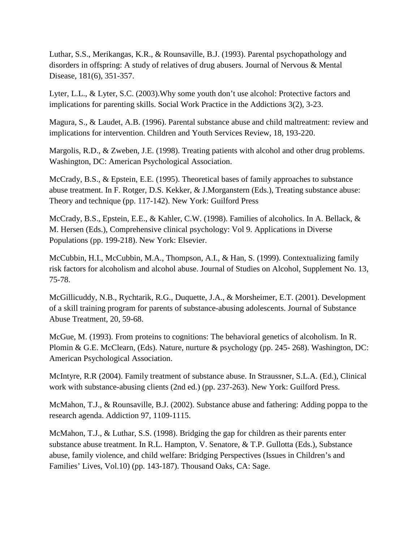Luthar, S.S., Merikangas, K.R., & Rounsaville, B.J. (1993). Parental psychopathology and disorders in offspring: A study of relatives of drug abusers. Journal of Nervous & Mental Disease, 181(6), 351-357.

Lyter, L.L., & Lyter, S.C. (2003).Why some youth don't use alcohol: Protective factors and implications for parenting skills. Social Work Practice in the Addictions 3(2), 3-23.

Magura, S., & Laudet, A.B. (1996). Parental substance abuse and child maltreatment: review and implications for intervention. Children and Youth Services Review, 18, 193-220.

Margolis, R.D., & Zweben, J.E. (1998). Treating patients with alcohol and other drug problems. Washington, DC: American Psychological Association.

McCrady, B.S., & Epstein, E.E. (1995). Theoretical bases of family approaches to substance abuse treatment. In F. Rotger, D.S. Kekker, & J.Morganstern (Eds.), Treating substance abuse: Theory and technique (pp. 117-142). New York: Guilford Press

McCrady, B.S., Epstein, E.E., & Kahler, C.W. (1998). Families of alcoholics. In A. Bellack, & M. Hersen (Eds.), Comprehensive clinical psychology: Vol 9. Applications in Diverse Populations (pp. 199-218). New York: Elsevier.

McCubbin, H.I., McCubbin, M.A., Thompson, A.I., & Han, S. (1999). Contextualizing family risk factors for alcoholism and alcohol abuse. Journal of Studies on Alcohol, Supplement No. 13, 75-78.

McGillicuddy, N.B., Rychtarik, R.G., Duquette, J.A., & Morsheimer, E.T. (2001). Development of a skill training program for parents of substance-abusing adolescents. Journal of Substance Abuse Treatment, 20, 59-68.

McGue, M. (1993). From proteins to cognitions: The behavioral genetics of alcoholism. In R. Plomin & G.E. McClearn, (Eds). Nature, nurture & psychology (pp. 245- 268). Washington, DC: American Psychological Association.

McIntyre, R.R (2004). Family treatment of substance abuse. In Straussner, S.L.A. (Ed.), Clinical work with substance-abusing clients (2nd ed.) (pp. 237-263). New York: Guilford Press.

McMahon, T.J., & Rounsaville, B.J. (2002). Substance abuse and fathering: Adding poppa to the research agenda. Addiction 97, 1109-1115.

McMahon, T.J., & Luthar, S.S. (1998). Bridging the gap for children as their parents enter substance abuse treatment. In R.L. Hampton, V. Senatore, & T.P. Gullotta (Eds.), Substance abuse, family violence, and child welfare: Bridging Perspectives (Issues in Children's and Families' Lives, Vol.10) (pp. 143-187). Thousand Oaks, CA: Sage.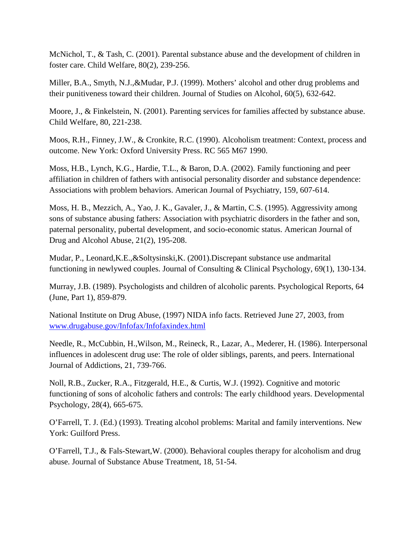McNichol, T., & Tash, C. (2001). Parental substance abuse and the development of children in foster care. Child Welfare, 80(2), 239-256.

Miller, B.A., Smyth, N.J.,&Mudar, P.J. (1999). Mothers' alcohol and other drug problems and their punitiveness toward their children. Journal of Studies on Alcohol, 60(5), 632-642.

Moore, J., & Finkelstein, N. (2001). Parenting services for families affected by substance abuse. Child Welfare, 80, 221-238.

Moos, R.H., Finney, J.W., & Cronkite, R.C. (1990). Alcoholism treatment: Context, process and outcome. New York: Oxford University Press. RC 565 M67 1990.

Moss, H.B., Lynch, K.G., Hardie, T.L., & Baron, D.A. (2002). Family functioning and peer affiliation in children of fathers with antisocial personality disorder and substance dependence: Associations with problem behaviors. American Journal of Psychiatry, 159, 607-614.

Moss, H. B., Mezzich, A., Yao, J. K., Gavaler, J., & Martin, C.S. (1995). Aggressivity among sons of substance abusing fathers: Association with psychiatric disorders in the father and son, paternal personality, pubertal development, and socio-economic status. American Journal of Drug and Alcohol Abuse, 21(2), 195-208.

Mudar, P., Leonard,K.E.,&Soltysinski,K. (2001).Discrepant substance use andmarital functioning in newlywed couples. Journal of Consulting & Clinical Psychology, 69(1), 130-134.

Murray, J.B. (1989). Psychologists and children of alcoholic parents. Psychological Reports, 64 (June, Part 1), 859-879.

National Institute on Drug Abuse, (1997) NIDA info facts. Retrieved June 27, 2003, from [www.drugabuse.gov/Infofax/Infofaxindex.html](http://www.drugabuse.gov/Infofax/Infofaxindex.html)

Needle, R., McCubbin, H.,Wilson, M., Reineck, R., Lazar, A., Mederer, H. (1986). Interpersonal influences in adolescent drug use: The role of older siblings, parents, and peers. International Journal of Addictions, 21, 739-766.

Noll, R.B., Zucker, R.A., Fitzgerald, H.E., & Curtis, W.J. (1992). Cognitive and motoric functioning of sons of alcoholic fathers and controls: The early childhood years. Developmental Psychology, 28(4), 665-675.

O'Farrell, T. J. (Ed.) (1993). Treating alcohol problems: Marital and family interventions. New York: Guilford Press.

O'Farrell, T.J., & Fals-Stewart,W. (2000). Behavioral couples therapy for alcoholism and drug abuse. Journal of Substance Abuse Treatment, 18, 51-54.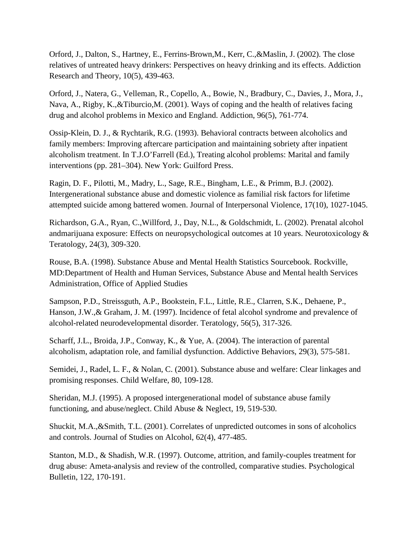Orford, J., Dalton, S., Hartney, E., Ferrins-Brown,M., Kerr, C.,&Maslin, J. (2002). The close relatives of untreated heavy drinkers: Perspectives on heavy drinking and its effects. Addiction Research and Theory, 10(5), 439-463.

Orford, J., Natera, G., Velleman, R., Copello, A., Bowie, N., Bradbury, C., Davies, J., Mora, J., Nava, A., Rigby, K.,&Tiburcio,M. (2001). Ways of coping and the health of relatives facing drug and alcohol problems in Mexico and England. Addiction, 96(5), 761-774.

Ossip-Klein, D. J., & Rychtarik, R.G. (1993). Behavioral contracts between alcoholics and family members: Improving aftercare participation and maintaining sobriety after inpatient alcoholism treatment. In T.J.O'Farrell (Ed.), Treating alcohol problems: Marital and family interventions (pp. 281–304). New York: Guilford Press.

Ragin, D. F., Pilotti, M., Madry, L., Sage, R.E., Bingham, L.E., & Primm, B.J. (2002). Intergenerational substance abuse and domestic violence as familial risk factors for lifetime attempted suicide among battered women. Journal of Interpersonal Violence, 17(10), 1027-1045.

Richardson, G.A., Ryan, C.,Willford, J., Day, N.L., & Goldschmidt, L. (2002). Prenatal alcohol andmarijuana exposure: Effects on neuropsychological outcomes at 10 years. Neurotoxicology & Teratology, 24(3), 309-320.

Rouse, B.A. (1998). Substance Abuse and Mental Health Statistics Sourcebook. Rockville, MD:Department of Health and Human Services, Substance Abuse and Mental health Services Administration, Office of Applied Studies

Sampson, P.D., Streissguth, A.P., Bookstein, F.L., Little, R.E., Clarren, S.K., Dehaene, P., Hanson, J.W.,& Graham, J. M. (1997). Incidence of fetal alcohol syndrome and prevalence of alcohol-related neurodevelopmental disorder. Teratology, 56(5), 317-326.

Scharff, J.L., Broida, J.P., Conway, K., & Yue, A. (2004). The interaction of parental alcoholism, adaptation role, and familial dysfunction. Addictive Behaviors, 29(3), 575-581.

Semidei, J., Radel, L. F., & Nolan, C. (2001). Substance abuse and welfare: Clear linkages and promising responses. Child Welfare, 80, 109-128.

Sheridan, M.J. (1995). A proposed intergenerational model of substance abuse family functioning, and abuse/neglect. Child Abuse & Neglect, 19, 519-530.

Shuckit, M.A.,&Smith, T.L. (2001). Correlates of unpredicted outcomes in sons of alcoholics and controls. Journal of Studies on Alcohol, 62(4), 477-485.

Stanton, M.D., & Shadish, W.R. (1997). Outcome, attrition, and family-couples treatment for drug abuse: Ameta-analysis and review of the controlled, comparative studies. Psychological Bulletin, 122, 170-191.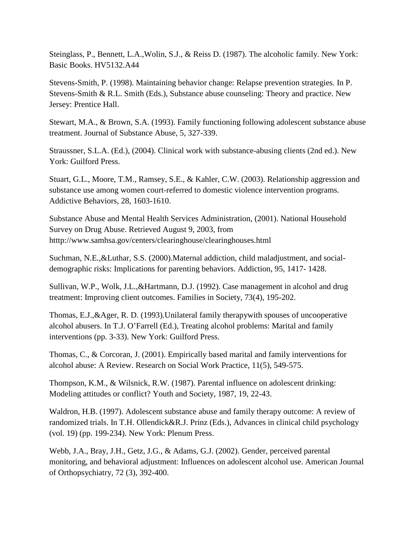Steinglass, P., Bennett, L.A.,Wolin, S.J., & Reiss D. (1987). The alcoholic family. New York: Basic Books. HV5132.A44

Stevens-Smith, P. (1998). Maintaining behavior change: Relapse prevention strategies. In P. Stevens-Smith & R.L. Smith (Eds.), Substance abuse counseling: Theory and practice. New Jersey: Prentice Hall.

Stewart, M.A., & Brown, S.A. (1993). Family functioning following adolescent substance abuse treatment. Journal of Substance Abuse, 5, 327-339.

Straussner, S.L.A. (Ed.), (2004). Clinical work with substance-abusing clients (2nd ed.). New York: Guilford Press.

Stuart, G.L., Moore, T.M., Ramsey, S.E., & Kahler, C.W. (2003). Relationship aggression and substance use among women court-referred to domestic violence intervention programs. Addictive Behaviors, 28, 1603-1610.

Substance Abuse and Mental Health Services Administration, (2001). National Household Survey on Drug Abuse. Retrieved August 9, 2003, from htttp://www.samhsa.gov/centers/clearinghouse/clearinghouses.html

Suchman, N.E.,&Luthar, S.S. (2000).Maternal addiction, child maladjustment, and socialdemographic risks: Implications for parenting behaviors. Addiction, 95, 1417- 1428.

Sullivan, W.P., Wolk, J.L.,&Hartmann, D.J. (1992). Case management in alcohol and drug treatment: Improving client outcomes. Families in Society, 73(4), 195-202.

Thomas, E.J.,&Ager, R. D. (1993).Unilateral family therapywith spouses of uncooperative alcohol abusers. In T.J. O'Farrell (Ed.), Treating alcohol problems: Marital and family interventions (pp. 3-33). New York: Guilford Press.

Thomas, C., & Corcoran, J. (2001). Empirically based marital and family interventions for alcohol abuse: A Review. Research on Social Work Practice, 11(5), 549-575.

Thompson, K.M., & Wilsnick, R.W. (1987). Parental influence on adolescent drinking: Modeling attitudes or conflict? Youth and Society, 1987, 19, 22-43.

Waldron, H.B. (1997). Adolescent substance abuse and family therapy outcome: A review of randomized trials. In T.H. Ollendick&R.J. Prinz (Eds.), Advances in clinical child psychology (vol. 19) (pp. 199-234). New York: Plenum Press.

Webb, J.A., Bray, J.H., Getz, J.G., & Adams, G.J. (2002). Gender, perceived parental monitoring, and behavioral adjustment: Influences on adolescent alcohol use. American Journal of Orthopsychiatry, 72 (3), 392-400.